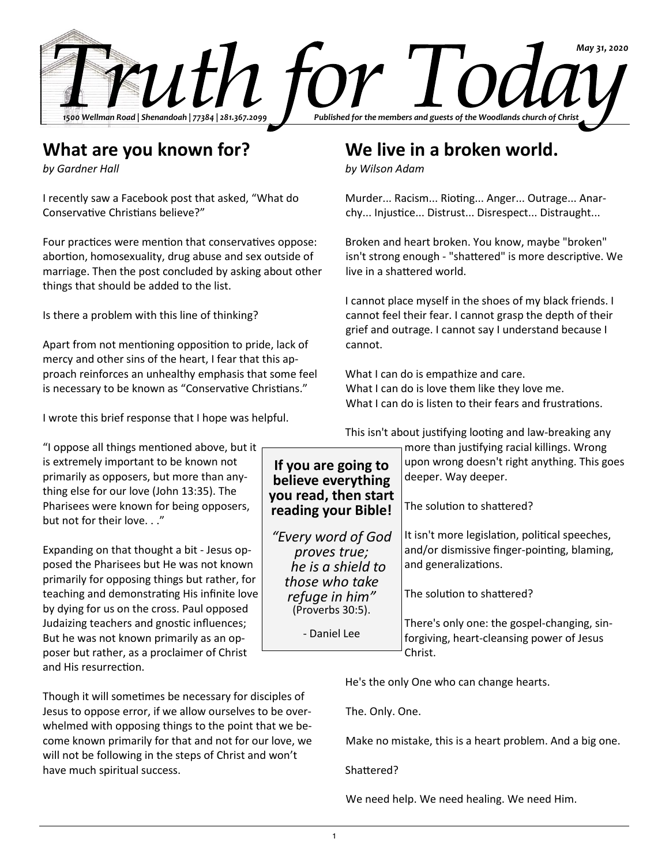

## **What are you known for?**

*by Gardner Hall*

I recently saw a Facebook post that asked, "What do Conservative Christians believe?"

Four practices were mention that conservatives oppose: abortion, homosexuality, drug abuse and sex outside of marriage. Then the post concluded by asking about other things that should be added to the list.

Is there a problem with this line of thinking?

Apart from not mentioning opposition to pride, lack of mercy and other sins of the heart, I fear that this approach reinforces an unhealthy emphasis that some feel is necessary to be known as "Conservative Christians."

I wrote this brief response that I hope was helpful.

"I oppose all things mentioned above, but it is extremely important to be known not primarily as opposers, but more than anything else for our love (John 13:35). The Pharisees were known for being opposers, but not for their love. . ."

Expanding on that thought a bit - Jesus opposed the Pharisees but He was not known primarily for opposing things but rather, for teaching and demonstrating His infinite love by dying for us on the cross. Paul opposed Judaizing teachers and gnostic influences; But he was not known primarily as an opposer but rather, as a proclaimer of Christ and His resurrection.

Though it will sometimes be necessary for disciples of Jesus to oppose error, if we allow ourselves to be overwhelmed with opposing things to the point that we become known primarily for that and not for our love, we will not be following in the steps of Christ and won't have much spiritual success.

## **We live in a broken world.**

*by Wilson Adam*

Murder... Racism... Rioting... Anger... Outrage... Anarchy... Injustice... Distrust... Disrespect... Distraught...

Broken and heart broken. You know, maybe "broken" isn't strong enough - "shattered" is more descriptive. We live in a shattered world.

I cannot place myself in the shoes of my black friends. I cannot feel their fear. I cannot grasp the depth of their grief and outrage. I cannot say I understand because I cannot.

What I can do is empathize and care. What I can do is love them like they love me. What I can do is listen to their fears and frustrations.

This isn't about justifying looting and law-breaking any

| If you are going to<br>believe everything<br>you read, then start<br>reading your Bible! | more than justifying racial killings. Wrong<br>upon wrong doesn't right anything. This goes<br>deeper. Way deeper.    |  |
|------------------------------------------------------------------------------------------|-----------------------------------------------------------------------------------------------------------------------|--|
|                                                                                          | The solution to shattered?                                                                                            |  |
| "Every word of God<br>proves true;<br>he is a shield to<br>those who take                | It isn't more legislation, political speeches,<br>and/or dismissive finger-pointing, blaming,<br>and generalizations. |  |
| refuge in him"<br>(Proverbs 30:5).                                                       | The solution to shattered?                                                                                            |  |
| - Daniel Lee                                                                             | There's only one: the gospel-changing, sin-<br>forgiving, heart-cleansing power of Jesus<br>Christ.                   |  |

He's the only One who can change hearts.

The. Only. One.

Make no mistake, this is a heart problem. And a big one.

Shattered?

We need help. We need healing. We need Him.